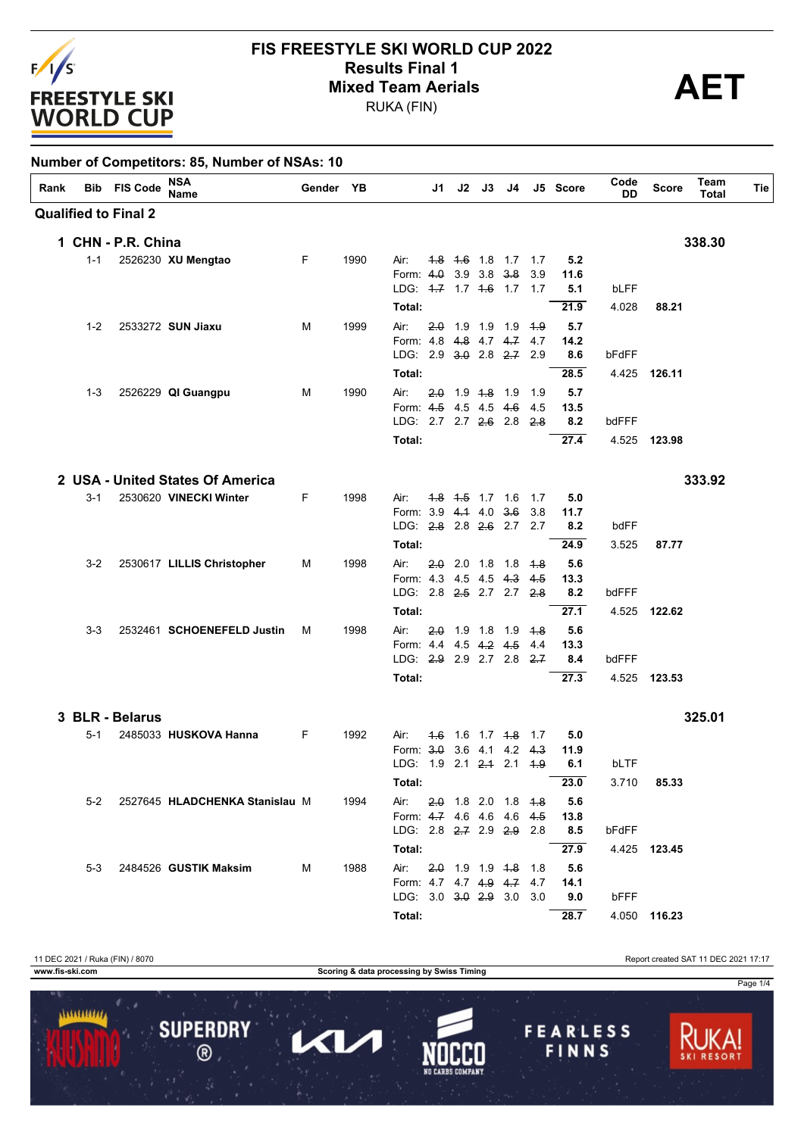

## **FIS FREESTYLE SKI WORLD CUP 2022 Results Final 1**<br>Mixed Team Aerials<br>BUKA (FIN)

RUKA (FIN)

| Rank |         | <b>Bib</b> FIS Code         | NSA<br><b>Name</b>                 | Gender YB |      |                                                       | J1 |  | $J2$ $J3$ $J4$        |             | J5 Score    | Code<br>DD | <b>Score</b> | Team<br><b>Total</b> | Tie |
|------|---------|-----------------------------|------------------------------------|-----------|------|-------------------------------------------------------|----|--|-----------------------|-------------|-------------|------------|--------------|----------------------|-----|
|      |         | <b>Qualified to Final 2</b> |                                    |           |      |                                                       |    |  |                       |             |             |            |              |                      |     |
|      |         | 1 CHN - P.R. China          |                                    |           |      |                                                       |    |  |                       |             |             |            |              | 338.30               |     |
|      | 1-1     |                             | 2526230 XU Mengtao                 | F.        | 1990 | Air:                                                  |    |  | 4.8 4.6 1.8 1.7 1.7   |             | 5.2         |            |              |                      |     |
|      |         |                             |                                    |           |      | Form: 4.0 3.9 3.8 3.8                                 |    |  |                       | 3.9         | 11.6        |            |              |                      |     |
|      |         |                             |                                    |           |      | LDG: 4-7 1.7 4-6 1.7 1.7                              |    |  |                       |             | 5.1         | bLFF       |              |                      |     |
|      |         |                             |                                    |           |      | Total:                                                |    |  |                       |             | 21.9        | 4.028      | 88.21        |                      |     |
|      | $1 - 2$ |                             | 2533272 SUN Jiaxu                  | м         | 1999 | Air:                                                  |    |  | 2.0 1.9 1.9 1.9 1.9   |             | 5.7         |            |              |                      |     |
|      |         |                             |                                    |           |      | Form: 4.8 4.8 4.7 4.7 4.7<br>LDG: 2.9 3.0 2.8 2.7 2.9 |    |  |                       |             | 14.2<br>8.6 | bFdFF      |              |                      |     |
|      |         |                             |                                    |           |      |                                                       |    |  |                       |             |             |            |              |                      |     |
|      |         |                             |                                    |           |      | Total:                                                |    |  |                       |             | 28.5        |            | 4.425 126.11 |                      |     |
|      | $1 - 3$ |                             | 2526229 QI Guangpu                 | м         | 1990 | Air:<br>Form: 4.5 4.5 4.5 4.6                         |    |  | $2.0$ 1.9 $4.8$ 1.9   | 1.9<br>-4.5 | 5.7<br>13.5 |            |              |                      |     |
|      |         |                             |                                    |           |      | LDG: 2.7 2.7 2.6 2.8 2.8                              |    |  |                       |             | 8.2         | bdFFF      |              |                      |     |
|      |         |                             |                                    |           |      | Total:                                                |    |  |                       |             | 27.4        |            | 4.525 123.98 |                      |     |
|      |         |                             |                                    |           |      |                                                       |    |  |                       |             |             |            |              |                      |     |
|      |         |                             | 2 USA - United States Of America   |           |      |                                                       |    |  |                       |             |             |            |              | 333.92               |     |
|      | $3 - 1$ |                             | 2530620 VINECKI Winter             | F         | 1998 | Air:                                                  |    |  | 4.8 4.5 1.7 1.6       | $-1.7$      | 5.0         |            |              |                      |     |
|      |         |                             |                                    |           |      | Form: 3.9 4.4 4.0 3.6                                 |    |  |                       | 3.8         | 11.7        |            |              |                      |     |
|      |         |                             |                                    |           |      | LDG: 2.8 2.8 2.6 2.7 2.7                              |    |  |                       |             | 8.2         | bdFF       |              |                      |     |
|      |         |                             |                                    |           |      | Total:                                                |    |  |                       |             | 24.9        | 3.525      | 87.77        |                      |     |
|      | $3-2$   |                             | 2530617 LILLIS Christopher         | м         | 1998 | Air:                                                  |    |  | $2.0$ 2.0 1.8 1.8     | 4.8         | 5.6         |            |              |                      |     |
|      |         |                             |                                    |           |      | Form: 4.3 4.5 4.5 4.3<br>LDG: 2.8 2.5 2.7 2.7 2.8     |    |  |                       | 4.5         | 13.3        |            |              |                      |     |
|      |         |                             |                                    |           |      |                                                       |    |  |                       |             | 8.2         | bdFFF      |              |                      |     |
|      |         |                             |                                    |           |      | Total:                                                |    |  |                       |             | 27.1        | 4.525      | 122.62       |                      |     |
|      | $3 - 3$ |                             | 2532461 SCHOENEFELD Justin         | м         | 1998 | Air:<br>Form: 4.4 4.5 4.2 4.5                         |    |  | 2.0 1.9 1.8 1.9 4.8   | 4.4         | 5.6<br>13.3 |            |              |                      |     |
|      |         |                             |                                    |           |      | LDG: 2.9 2.9 2.7 2.8 2.7                              |    |  |                       |             | 8.4         | bdFFF      |              |                      |     |
|      |         |                             |                                    |           |      | Total:                                                |    |  |                       |             | 27.3        |            | 4.525 123.53 |                      |     |
|      |         |                             |                                    |           |      |                                                       |    |  |                       |             |             |            |              |                      |     |
|      |         | 3 BLR - Belarus             |                                    |           |      |                                                       |    |  |                       |             |             |            |              | 325.01               |     |
|      | $5-1$   |                             | 2485033 HUSKOVA Hanna              | F         | 1992 | Air:                                                  |    |  | 4.6 1.6 1.7 4.8 1.7   |             | 5.0         |            |              |                      |     |
|      |         |                             |                                    |           |      | Form: 3.0 3.6 4.1 4.2 4.3                             |    |  |                       |             | 11.9        |            |              |                      |     |
|      |         |                             |                                    |           |      | LDG: 1.9 2.1 2.4 2.1 4.9                              |    |  |                       |             | 6.1         | bLTF       |              |                      |     |
|      |         |                             |                                    |           |      | Total:                                                |    |  |                       |             | 23.0        |            | 3.710 85.33  |                      |     |
|      |         |                             | 5-2 2527645 HLADCHENKA Stanislau M |           | 1994 | Air:                                                  |    |  | $2.0$ 1.8 2.0 1.8 4.8 |             | 5.6         |            |              |                      |     |
|      |         |                             |                                    |           |      | Form: 4.7 4.6 4.6 4.6 4.5<br>LDG: 2.8 2.7 2.9 2.9 2.8 |    |  |                       |             | 13.8<br>8.5 | bFdFF      |              |                      |     |
|      |         |                             |                                    |           |      | Total:                                                |    |  |                       |             | 27.9        |            | 4.425 123.45 |                      |     |
|      |         |                             |                                    |           |      |                                                       |    |  |                       |             |             |            |              |                      |     |
|      | $5-3$   |                             | 2484526 <b>GUSTIK Maksim</b>       | м         | 1988 | Air:<br>Form: 4.7 4.7 4.9 4.7 4.7                     |    |  | 2.0 1.9 1.9 1.8 1.8   |             | 5.6<br>14.1 |            |              |                      |     |
|      |         |                             |                                    |           |      | LDG: 3.0 3.0 2.9 3.0 3.0                              |    |  |                       |             | 9.0         | bFFF       |              |                      |     |
|      |         |                             |                                    |           |      | Total:                                                |    |  |                       |             | 28.7        |            | 4.050 116.23 |                      |     |

11 DEC 2021 / Ruka (FIN) / 8070<br> **11 DEC 2021 17:17**<br> **11 DEC 2021 17:17**<br> **11 DEC 2021 17:17**<br> **11 DEC 2021 17:17 Scoring & data processing by Swiss Timing** Page 1/41111111111 **SUPERDRY FEARLESS** П KL, FINNS  $\overline{\circ}$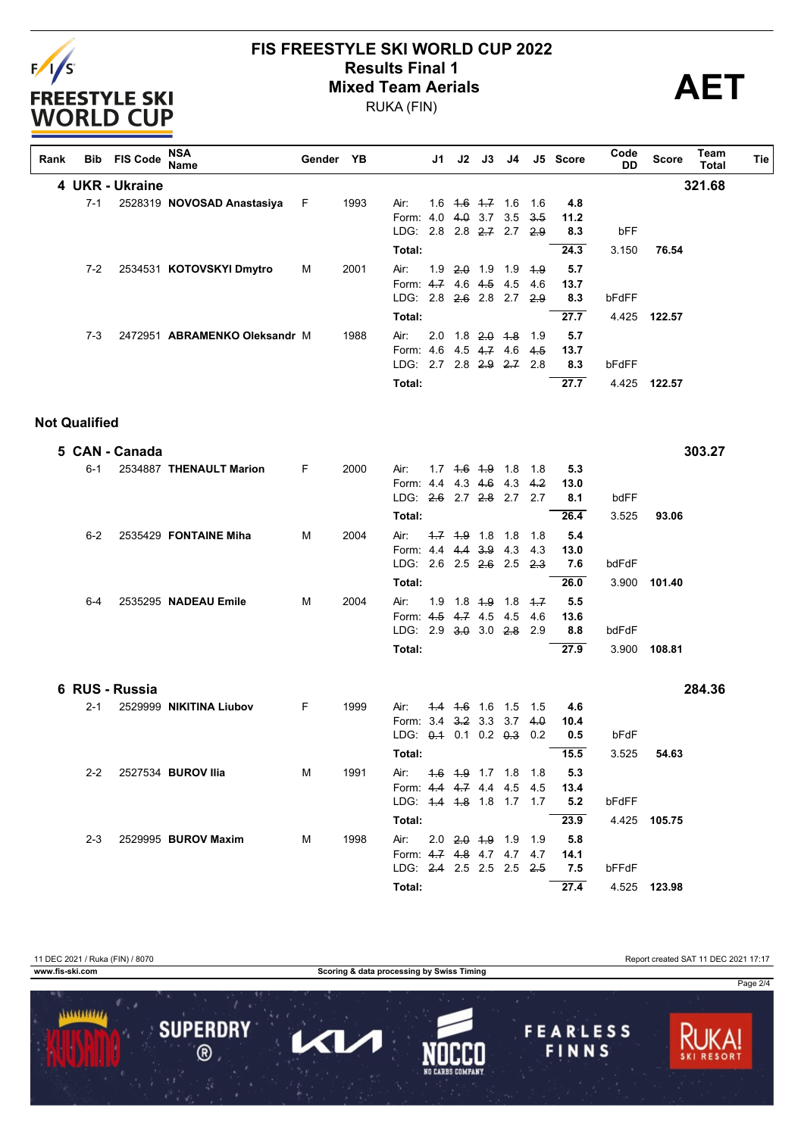

#### **FIS FREESTYLE SKI WORLD CUP 2022 Mixed Team Aerials**

RUKA (FIN)

**Results Final 1 AET**

| Rank | Bib                  | <b>FIS Code</b> | <b>NSA</b><br>Name            | Gender YB |      |                           | J1. | J2 | J3                      | J4 |       | J5 Score | Code<br>DD | <b>Score</b> | Team<br><b>Total</b> | Tie |
|------|----------------------|-----------------|-------------------------------|-----------|------|---------------------------|-----|----|-------------------------|----|-------|----------|------------|--------------|----------------------|-----|
|      |                      | 4 UKR - Ukraine |                               |           |      |                           |     |    |                         |    |       |          |            |              | 321.68               |     |
|      | $7 - 1$              |                 | 2528319 NOVOSAD Anastasiya    | F         | 1993 | Air:                      |     |    | $1.6$ $1.6$ $1.7$ $1.6$ |    | 1.6   | 4.8      |            |              |                      |     |
|      |                      |                 |                               |           |      | Form: 4.0                 |     |    | $4.0$ 3.7 3.5           |    | 3.5   | 11.2     |            |              |                      |     |
|      |                      |                 |                               |           |      | LDG: 2.8 2.8 2.7 2.7      |     |    |                         |    | 2.9   | 8.3      | bFF        |              |                      |     |
|      |                      |                 |                               |           |      | Total:                    |     |    |                         |    |       | 24.3     | 3.150      | 76.54        |                      |     |
|      | 7-2                  |                 | 2534531 KOTOVSKYI Dmytro      | М         | 2001 | Air:                      |     |    | $1.9$ $2.0$ $1.9$ $1.9$ |    | 4.9   | 5.7      |            |              |                      |     |
|      |                      |                 |                               |           |      | Form: 4.7 4.6 4.5 4.5     |     |    |                         |    | 4.6   | 13.7     |            |              |                      |     |
|      |                      |                 |                               |           |      | LDG: 2.8 2.6 2.8 2.7      |     |    |                         |    | 2.9   | 8.3      | bFdFF      |              |                      |     |
|      |                      |                 |                               |           |      | Total:                    |     |    |                         |    |       | 27.7     | 4.425      | 122.57       |                      |     |
|      | $7-3$                |                 | 2472951 ABRAMENKO Oleksandr M |           | 1988 | Air:                      |     |    | $2.0$ 1.8 $2.0$ 1.8     |    | 1.9   | 5.7      |            |              |                      |     |
|      |                      |                 |                               |           |      | Form: 4.6 4.5 4.7 4.6     |     |    |                         |    | 4.5   | 13.7     |            |              |                      |     |
|      |                      |                 |                               |           |      | LDG: 2.7 2.8 2.9 2.7 2.8  |     |    |                         |    |       | 8.3      | bFdFF      |              |                      |     |
|      |                      |                 |                               |           |      | Total:                    |     |    |                         |    |       | 27.7     | 4.425      | 122.57       |                      |     |
|      | <b>Not Qualified</b> |                 |                               |           |      |                           |     |    |                         |    |       |          |            |              |                      |     |
|      |                      | 5 CAN - Canada  |                               |           |      |                           |     |    |                         |    |       |          |            |              | 303.27               |     |
|      | $6 - 1$              |                 | 2534887 THENAULT Marion       | F.        | 2000 | Air:                      |     |    | $1.7$ $1.6$ $1.9$ $1.8$ |    | 1.8   | 5.3      |            |              |                      |     |
|      |                      |                 |                               |           |      | Form: 4.4 4.3 4.6 4.3     |     |    |                         |    | 4.2   | 13.0     |            |              |                      |     |
|      |                      |                 |                               |           |      | LDG: 2.6 2.7 2.8 2.7      |     |    |                         |    | 2.7   | 8.1      | bdFF       |              |                      |     |
|      |                      |                 |                               |           |      | Total:                    |     |    |                         |    |       | 26.4     | 3.525      | 93.06        |                      |     |
|      | $6 - 2$              |                 | 2535429 FONTAINE Miha         | м         | 2004 | Air:                      |     |    | $-1.7$ $-1.9$ 1.8 1.8   |    | 1.8   | 5.4      |            |              |                      |     |
|      |                      |                 |                               |           |      | Form: 4.4 4.4 3.9 4.3     |     |    |                         |    | 4.3   | 13.0     |            |              |                      |     |
|      |                      |                 |                               |           |      | LDG: 2.6 2.5 2.6 2.5      |     |    |                         |    | 23    | 7.6      | bdFdF      |              |                      |     |
|      |                      |                 |                               |           |      | Total:                    |     |    |                         |    |       | 26.0     | 3.900      | 101.40       |                      |     |
|      | $6 - 4$              |                 | 2535295 NADEAU Emile          | M         | 2004 | Air:                      |     |    | $1.9$ 1.8 $4.9$ 1.8     |    | 4.7   | 5.5      |            |              |                      |     |
|      |                      |                 |                               |           |      | Form: 4.5 4.7 4.5 4.5     |     |    |                         |    | 4.6   | 13.6     |            |              |                      |     |
|      |                      |                 |                               |           |      | LDG: 2.9 3.0 3.0 2.8 2.9  |     |    |                         |    |       | 8.8      | bdFdF      |              |                      |     |
|      |                      |                 |                               |           |      | Total:                    |     |    |                         |    |       | 27.9     | 3.900      | 108.81       |                      |     |
|      |                      | 6 RUS - Russia  |                               |           |      |                           |     |    |                         |    |       |          |            |              | 284.36               |     |
|      | $2 - 1$              |                 | 2529999 NIKITINA Liubov       | F         | 1999 | Air:                      |     |    | $4.4$ $4.6$ 1.6 1.5     |    | - 1.5 | 4.6      |            |              |                      |     |
|      |                      |                 |                               |           |      | Form: 3.4 3.2 3.3 3.7     |     |    |                         |    | 4.0   | 10.4     |            |              |                      |     |
|      |                      |                 |                               |           |      | LDG: $0.4$ 0.1 0.2 $0.3$  |     |    |                         |    | 0.2   | 0.5      | bFdF       |              |                      |     |
|      |                      |                 |                               |           |      | Total:                    |     |    |                         |    |       | 15.5     |            | 3.525 54.63  |                      |     |
|      | $2 - 2$              |                 | 2527534 <b>BUROV Ilia</b>     | M         | 1991 | Air: 4.6 4.9 1.7 1.8 1.8  |     |    |                         |    |       | 5.3      |            |              |                      |     |
|      |                      |                 |                               |           |      | Form: 4.4 4.7 4.4 4.5 4.5 |     |    |                         |    |       | 13.4     |            |              |                      |     |
|      |                      |                 |                               |           |      | LDG: 4.4 4.8 1.8 1.7 1.7  |     |    |                         |    |       | 5.2      | bFdFF      |              |                      |     |
|      |                      |                 |                               |           |      | Total:                    |     |    |                         |    |       | 23.9     |            | 4.425 105.75 |                      |     |
|      | $2 - 3$              |                 | 2529995 BUROV Maxim           | м         | 1998 | Air: 2.0 2.0 4.9 1.9 1.9  |     |    |                         |    |       | 5.8      |            |              |                      |     |
|      |                      |                 |                               |           |      | Form: 4.7 4.8 4.7 4.7 4.7 |     |    |                         |    |       | 14.1     |            |              |                      |     |

11 DEC 2021 / Ruka (FIN) / 8070 Report created SAT 11 DEC 2021 17:17 **www.fis-ski.com Scoring & data processing by Swiss Timing** Page 2/41111111111 **SUPERDRY FEARLESS**  $\blacksquare$ KI)  $\overline{\circledcirc}$ FINNS

**Total: 27.4** 4.525 **123.98**

LDG: 2.4 2.5 2.5 2.5 2.5 **7.5** bFFdF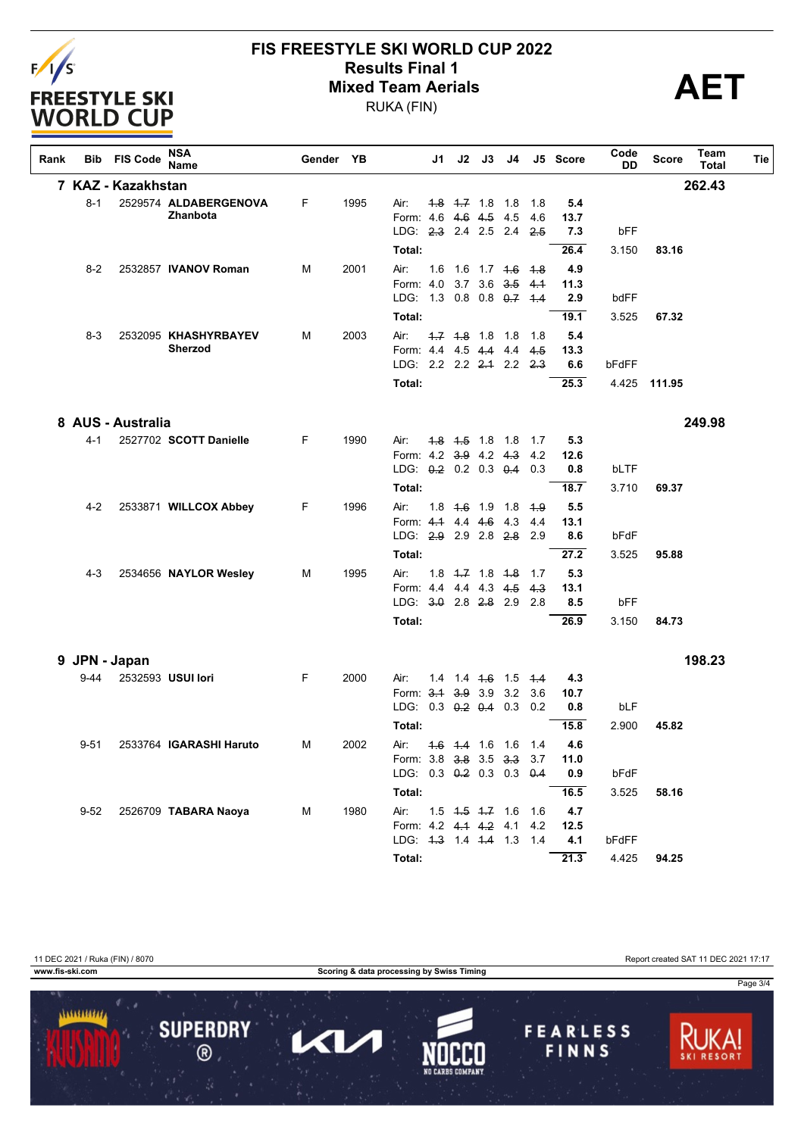

# **FIS FREESTYLE SKI WORLD CUP 2022 Results Final 1**<br>Mixed Team Aerials<br>BUKA (FIN)

RUKA (FIN)

| Rank | Bib      | <b>FIS Code</b>    | <b>NSA</b><br>Name                | Gender YB |      |                                               | J1  | $J2$ $J3$               | J4                            |            | J5 Score    | Code<br>DD | <b>Score</b> | Team<br>Total | Tie |
|------|----------|--------------------|-----------------------------------|-----------|------|-----------------------------------------------|-----|-------------------------|-------------------------------|------------|-------------|------------|--------------|---------------|-----|
|      |          | 7 KAZ - Kazakhstan |                                   |           |      |                                               |     |                         |                               |            |             |            |              | 262.43        |     |
|      | $8 - 1$  |                    | 2529574 ALDABERGENOVA<br>Zhanbota | F         | 1995 | Air:<br>Form: 4.6 4.6 4.5 4.5                 |     | $1.8$ $1.7$ 1.8 1.8     |                               | 1.8<br>4.6 | 5.4<br>13.7 |            |              |               |     |
|      |          |                    |                                   |           |      | LDG: 2.3 2.4 2.5 2.4                          |     |                         |                               | 2.5        | 7.3         | bFF        |              |               |     |
|      |          |                    |                                   |           |      | Total:                                        |     |                         |                               |            | 26.4        | 3.150      | 83.16        |               |     |
|      | $8 - 2$  |                    | 2532857 IVANOV Roman              | M         | 2001 | Air:                                          |     |                         | 1.6 1.6 1.7 4.6 4.8           |            | 4.9         |            |              |               |     |
|      |          |                    |                                   |           |      | Form: 4.0<br>LDG: 1.3 0.8 0.8 0.7             |     | $3.7$ $3.6$ $3.5$       |                               | 4.1<br>4.4 | 11.3<br>2.9 | bdFF       |              |               |     |
|      |          |                    |                                   |           |      | Total:                                        |     |                         |                               |            | 19.1        | 3.525      | 67.32        |               |     |
|      | $8-3$    |                    | 2532095 KHASHYRBAYEV              | м         | 2003 | Air:                                          |     | $1.7$ $1.8$ 1.8 1.8     |                               | - 1.8      | 5.4         |            |              |               |     |
|      |          |                    | Sherzod                           |           |      | Form: 4.4 4.5 4.4 4.4                         |     |                         |                               | 4.5        | 13.3        |            |              |               |     |
|      |          |                    |                                   |           |      | LDG: 2.2 2.2 <del>2.1</del> 2.2               |     |                         |                               | 2.3        | 6.6         | bFdFF      |              |               |     |
|      |          |                    |                                   |           |      | Total:                                        |     |                         |                               |            | 25.3        | 4.425      | 111.95       |               |     |
|      |          | 8 AUS - Australia  |                                   |           |      |                                               |     |                         |                               |            |             |            |              | 249.98        |     |
|      | $4 - 1$  |                    | 2527702 SCOTT Danielle            | F         | 1990 | Air:                                          |     | $1.8$ $1.5$ 1.8 1.8     |                               | 1.7        | 5.3         |            |              |               |     |
|      |          |                    |                                   |           |      | Form: 4.2 3.9 4.2 4.3                         |     |                         |                               | 4.2        | 12.6        |            |              |               |     |
|      |          |                    |                                   |           |      | LDG: 0.2 0.2 0.3 0.4                          |     |                         |                               | 0.3        | 0.8         | bLTF       |              |               |     |
|      |          |                    |                                   |           |      | Total:                                        |     |                         |                               |            | 18.7        | 3.710      | 69.37        |               |     |
|      | $4 - 2$  |                    | 2533871 WILLCOX Abbey             | F.        | 1996 | Air:                                          |     |                         | 1.8 4.6 1.9 1.8               | 4.9        | 5.5         |            |              |               |     |
|      |          |                    |                                   |           |      | Form: 4.1 4.4 4.6 4.3<br>LDG: 2.9 2.9 2.8 2.8 |     |                         |                               | 4.4        | 13.1<br>8.6 | bFdF       |              |               |     |
|      |          |                    |                                   |           |      | Total:                                        |     |                         |                               | 2.9        | 27.2        |            |              |               |     |
|      |          |                    |                                   |           |      |                                               |     |                         |                               |            |             | 3.525      | 95.88        |               |     |
|      | $4 - 3$  |                    | 2534656 NAYLOR Wesley             | M         | 1995 | Air:<br>Form: 44 44 43 45                     |     | $1.8$ $4.7$ $1.8$ $4.8$ |                               | 1.7<br>4.3 | 5.3<br>13.1 |            |              |               |     |
|      |          |                    |                                   |           |      | LDG: 3.0 2.8 2.8 2.9 2.8                      |     |                         |                               |            | 8.5         | bFF        |              |               |     |
|      |          |                    |                                   |           |      | Total:                                        |     |                         |                               |            | 26.9        | 3.150      | 84.73        |               |     |
|      |          | 9 JPN - Japan      |                                   |           |      |                                               |     |                         |                               |            |             |            |              | 198.23        |     |
|      | $9 - 44$ |                    | 2532593 USUI lori                 | F         | 2000 | Air:                                          | 1.4 |                         | 1.4 <del>1.6</del> 1.5        | 4.4        | 4.3         |            |              |               |     |
|      |          |                    |                                   |           |      | Form: 3.1 3.9 3.9 3.2                         |     |                         |                               | 3.6        | 10.7        |            |              |               |     |
|      |          |                    |                                   |           |      | LDG: 0.3 0.2 0.4 0.3                          |     |                         |                               | 0.2        | 0.8         | bLF        |              |               |     |
|      |          |                    |                                   |           |      | Total:                                        |     |                         |                               |            | 15.8        | 2.900      | 45.82        |               |     |
|      | $9 - 51$ |                    | 2533764 IGARASHI Haruto           | M         | 2002 | Air:                                          |     |                         | 4.6 4.4 1.6 1.6 1.4           |            | 4.6         |            |              |               |     |
|      |          |                    |                                   |           |      | Form: 3.8 3.8 3.5 3.3 3.7                     |     |                         |                               |            | 11.0        |            |              |               |     |
|      |          |                    |                                   |           |      | LDG: 0.3 0.2 0.3 0.3 0.4                      |     |                         |                               |            | 0.9         | bFdF       |              |               |     |
|      |          |                    |                                   |           |      | Total:                                        |     |                         |                               |            | 16.5        | 3.525      | 58.16        |               |     |
|      | $9 - 52$ |                    | 2526709 TABARA Naoya              | M         | 1980 | Air:<br>Form: 4.2 4.1 4.2 4.1 4.2             |     |                         | $1.5$ $1.5$ $1.7$ $1.6$ $1.6$ |            | 4.7<br>12.5 |            |              |               |     |
|      |          |                    |                                   |           |      | LDG: 4.3 1.4 4.4 1.3 1.4                      |     |                         |                               |            | 4.1         | bFdFF      |              |               |     |
|      |          |                    |                                   |           |      | Total:                                        |     |                         |                               |            | 21.3        | 4.425      | 94.25        |               |     |

**Scoring & data processing by Swiss Timing**